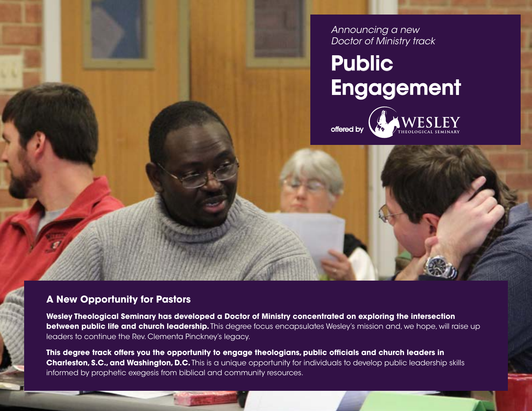*Announcing a new Doctor of Ministry track*

## **Public** Engagement





**A New Opportunity for Pastors**

**Wesley Theological Seminary has developed a Doctor of Ministry concentrated on exploring the intersection between public life and church leadership.** This degree focus encapsulates Wesley's mission and, we hope, will raise up leaders to continue the Rev. Clementa Pinckney's legacy.

**This degree track offers you the opportunity to engage theologians, public officials and church leaders in Charleston, S.C., and Washington, D.C.** This is a unique opportunity for individuals to develop public leadership skills informed by prophetic exegesis from biblical and community resources.